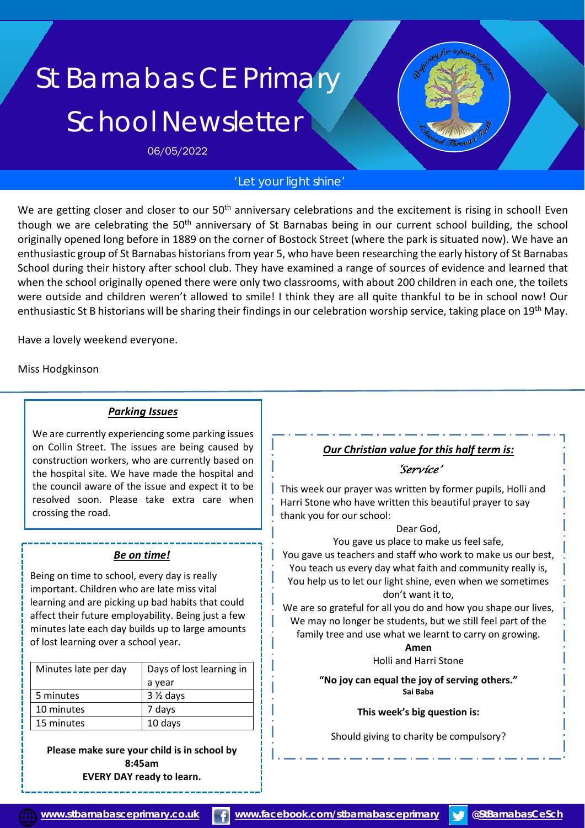# St Barnabas CE Primary School Newsletter

06/05/2022

## *'Let your light shine'*

We are getting closer and closer to our 50<sup>th</sup> anniversary celebrations and the excitement is rising in school! Even though we are celebrating the 50<sup>th</sup> anniversary of St Barnabas being in our current school building, the school originally opened long before in 1889 on the corner of Bostock Street (where the park is situated now). We have an enthusiastic group of St Barnabas historians from year 5, who have been researching the early history of St Barnabas School during their history after school club. They have examined a range of sources of evidence and learned that when the school originally opened there were only two classrooms, with about 200 children in each one, the toilets were outside and children weren't allowed to smile! I think they are all quite thankful to be in school now! Our enthusiastic St B historians will be sharing their findings in our celebration worship service, taking place on 19<sup>th</sup> May.

Have a lovely weekend everyone.

Miss Hodgkinson

#### *Parking Issues*

We are currently experiencing some parking issues on Collin Street. The issues are being caused by construction workers, who are currently based on the hospital site. We have made the hospital and the council aware of the issue and expect it to be resolved soon. Please take extra care when crossing the road.

#### *Be on time!*

Being on time to school, every day is really important. Children who are late miss vital learning and are picking up bad habits that could affect their future employability. Being just a few minutes late each day builds up to large amounts of lost learning over a school year.

| Minutes late per day | Days of lost learning in |  |
|----------------------|--------------------------|--|
|                      | a year                   |  |
| 5 minutes            | $3\frac{1}{2}$ days      |  |
| 10 minutes           | 7 days                   |  |
| 15 minutes           | 10 days                  |  |

**Please make sure your child is in school by 8:45am EVERY DAY ready to learn.**

# *Our Christian value for this half term is:*

*'Service'* 

This week our prayer was written by former pupils, Holli and Harri Stone who have written this beautiful prayer to say thank you for our school:

Dear God,

You gave us place to make us feel safe,

You gave us teachers and staff who work to make us our best, You teach us every day what faith and community really is, You help us to let our light shine, even when we sometimes don't want it to,

We are so grateful for all you do and how you shape our lives, We may no longer be students, but we still feel part of the family tree and use what we learnt to carry on growing.

> **Amen** Holli and Harri Stone

**"No joy can equal the joy of serving others." Sai Baba**

**This week's big question is:**

Should giving to charity be compulsory?